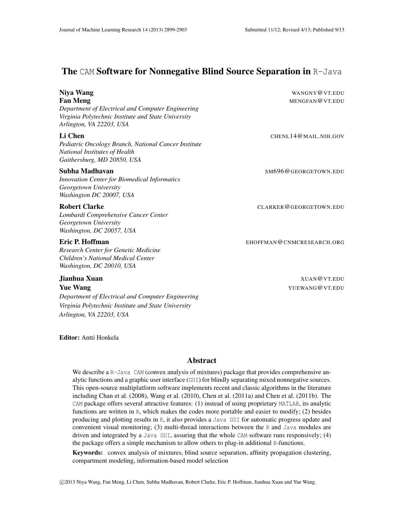# The CAM Software for Nonnegative Blind Source Separation in R-Java

| Niya Wang<br><b>Fan Meng</b><br>Department of Electrical and Computer Engineering<br>Virginia Polytechnic Institute and State University<br>Arlington, VA 22203, USA | WANGNY@VT.EDU<br>MENGFAN@VT.EDU |
|----------------------------------------------------------------------------------------------------------------------------------------------------------------------|---------------------------------|
| Li Chen<br>Pediatric Oncology Branch, National Cancer Institute<br>National Institutes of Health<br>Gaithersburg, MD 20850, USA                                      | CHENL14@MAIL.NIH.GOV            |
| Subha Madhavan<br><b>Innovation Center for Biomedical Informatics</b><br>Georgetown University<br>Washington DC 20007, USA                                           | SM696@GEORGETOWN.EDU            |
| <b>Robert Clarke</b><br>Lombardi Comprehensive Cancer Center<br>Georgetown University<br>Washington, DC 20057, USA                                                   | CLARKER@GEORGETOWN.EDU          |
| Eric P. Hoffman<br><b>Research Center for Genetic Medicine</b><br>Children's National Medical Center<br>Washington, DC 20010, USA                                    | EHOFFMAN@CNMCRESEARCH.ORG       |

**Yue Wang Xuewang Contract Contract Contract Contract Contract Contract Contract Contract Contract Contract Contract Contract Contract Contract Contract Contract Contract Contract Contract Contract Contract Contract Contra** *Department of Electrical and Computer Engineering Virginia Polytechnic Institute and State University Arlington, VA 22203, USA*

Editor: Antti Honkela

#### Abstract

We describe a R-Java CAM (convex analysis of mixtures) package that provides comprehensive analytic functions and a graphic user interface (GUI) for blindly separating mixed nonnegative sources. This open-source multiplatform software implements recent and classic algorithms in the literature including Chan et al. (2008), Wang et al. (2010), Chen et al. (2011a) and Chen et al. (2011b). The CAM package offers several attractive features: (1) instead of using proprietary MATLAB, its analytic functions are written in R, which makes the codes more portable and easier to modify; (2) besides producing and plotting results in R, it also provides a Java GUI for automatic progress update and convenient visual monitoring; (3) multi-thread interactions between the R and Java modules are driven and integrated by a Java GUI, assuring that the whole CAM software runs responsively; (4) the package offers a simple mechanism to allow others to plug-in additional R-functions.

Keywords: convex analysis of mixtures, blind source separation, affinity propagation clustering, compartment modeling, information-based model selection

c 2013 Niya Wang, Fan Meng, Li Chen, Subha Madhavan, Robert Clarke, Eric P. Hoffman, Jianhua Xuan and Yue Wang.

Jianhua Xuan XUAN@VT.EDU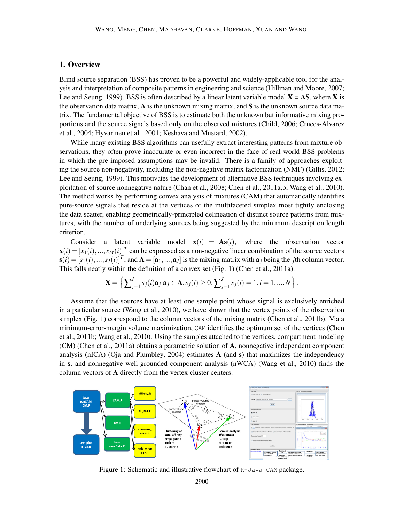#### 1. Overview

Blind source separation (BSS) has proven to be a powerful and widely-applicable tool for the analysis and interpretation of composite patterns in engineering and science (Hillman and Moore, 2007; Lee and Seung, 1999). BSS is often described by a linear latent variable model  $X = AS$ , where X is the observation data matrix,  $\bf{A}$  is the unknown mixing matrix, and  $\bf{S}$  is the unknown source data matrix. The fundamental objective of BSS is to estimate both the unknown but informative mixing proportions and the source signals based only on the observed mixtures (Child, 2006; Cruces-Alvarez et al., 2004; Hyvarinen et al., 2001; Keshava and Mustard, 2002).

While many existing BSS algorithms can usefully extract interesting patterns from mixture observations, they often prove inaccurate or even incorrect in the face of real-world BSS problems in which the pre-imposed assumptions may be invalid. There is a family of approaches exploiting the source non-negativity, including the non-negative matrix factorization (NMF) (Gillis, 2012; Lee and Seung, 1999). This motivates the development of alternative BSS techniques involving exploitation of source nonnegative nature (Chan et al., 2008; Chen et al., 2011a,b; Wang et al., 2010). The method works by performing convex analysis of mixtures (CAM) that automatically identifies pure-source signals that reside at the vertices of the multifaceted simplex most tightly enclosing the data scatter, enabling geometrically-principled delineation of distinct source patterns from mixtures, with the number of underlying sources being suggested by the minimum description length criterion.

Consider a latent variable model  $\mathbf{x}(i) = \mathbf{As}(i)$ , where the observation vector  $\mathbf{x}(i) = [x_1(i), ..., x_M(i)]^T$  can be expressed as a non-negative linear combination of the source vectors  $\mathbf{s}(i) = [s_1(i),...,s_J(i)]^T$ , and  $\mathbf{A} = [\mathbf{a}_1,...,\mathbf{a}_J]$  is the mixing matrix with  $\mathbf{a}_j$  being the *j*th column vector. This falls neatly within the definition of a convex set (Fig. 1) (Chen et al., 2011a):

$$
\mathbf{X} = \left\{ \sum_{j=1}^{J} s_j(i) \mathbf{a}_j | \mathbf{a}_j \in \mathbf{A}, s_j(i) \ge 0, \sum_{j=1}^{J} s_j(i) = 1, i = 1, ..., N \right\}.
$$

Assume that the sources have at least one sample point whose signal is exclusively enriched in a particular source (Wang et al., 2010), we have shown that the vertex points of the observation simplex (Fig. 1) correspond to the column vectors of the mixing matrix (Chen et al., 2011b). Via a minimum-error-margin volume maximization, CAM identifies the optimum set of the vertices (Chen et al., 2011b; Wang et al., 2010). Using the samples attached to the vertices, compartment modeling (CM) (Chen et al., 2011a) obtains a parametric solution of A, nonnegative independent component analysis (nICA) (Oja and Plumbley, 2004) estimates  $A$  (and s) that maximizes the independency in s, and nonnegative well-grounded component analysis (nWCA) (Wang et al., 2010) finds the column vectors of A directly from the vertex cluster centers.



Figure 1: Schematic and illustrative flowchart of R-Java CAM package.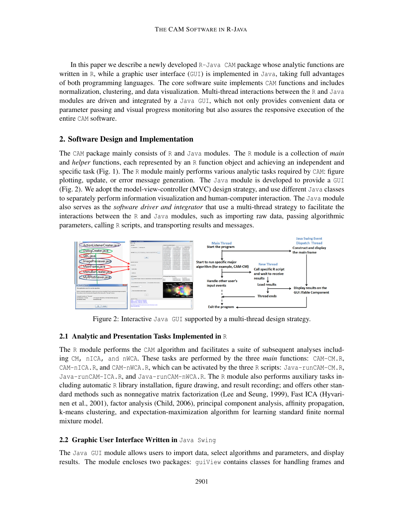In this paper we describe a newly developed R-Java CAM package whose analytic functions are written in R, while a graphic user interface  $(GUT)$  is implemented in Java, taking full advantages of both programming languages. The core software suite implements CAM functions and includes normalization, clustering, and data visualization. Multi-thread interactions between the R and Java modules are driven and integrated by a Java GUI, which not only provides convenient data or parameter passing and visual progress monitoring but also assures the responsive execution of the entire CAM software.

## 2. Software Design and Implementation

The CAM package mainly consists of R and Java modules. The R module is a collection of *main* and *helper* functions, each represented by an R function object and achieving an independent and specific task (Fig. 1). The R module mainly performs various analytic tasks required by CAM: figure plotting, update, or error message generation. The Java module is developed to provide a GUI (Fig. 2). We adopt the model-view-controller (MVC) design strategy, and use different Java classes to separately perform information visualization and human-computer interaction. The Java module also serves as the *software driver and integrator* that use a multi-thread strategy to facilitate the interactions between the R and Java modules, such as importing raw data, passing algorithmic parameters, calling R scripts, and transporting results and messages.



Figure 2: Interactive Java GUI supported by a multi-thread design strategy.

## 2.1 Analytic and Presentation Tasks Implemented in  $\mathbb R$

The R module performs the CAM algorithm and facilitates a suite of subsequent analyses including CM, nICA, and nWCA. These tasks are performed by the three *main* functions: CAM-CM.R, CAM-nICA.R, and CAM-nWCA.R, which can be activated by the three R scripts: Java-runCAM-CM.R, Java-runCAM-ICA.R, and Java-runCAM-nWCA.R. The R module also performs auxiliary tasks including automatic R library installation, figure drawing, and result recording; and offers other standard methods such as nonnegative matrix factorization (Lee and Seung, 1999), Fast ICA (Hyvarinen et al., 2001), factor analysis (Child, 2006), principal component analysis, affinity propagation, k-means clustering, and expectation-maximization algorithm for learning standard finite normal mixture model.

## 2.2 Graphic User Interface Written in Java Swing

The Java GUI module allows users to import data, select algorithms and parameters, and display results. The module encloses two packages: guiView contains classes for handling frames and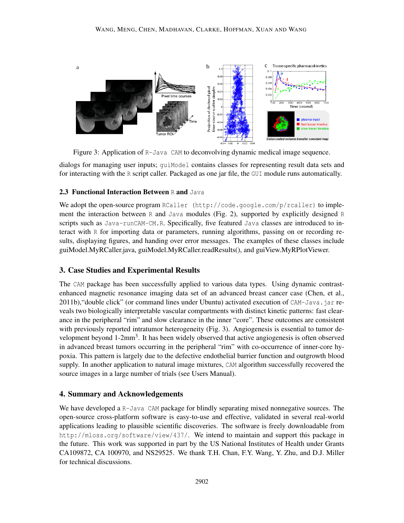

Figure 3: Application of R-Java CAM to deconvolving dynamic medical image sequence.

dialogs for managing user inputs; guiModel contains classes for representing result data sets and for interacting with the R script caller. Packaged as one jar file, the GUI module runs automatically.

#### 2.3 Functional Interaction Between R and Java

We adopt the open-source program RCaller (http://code.google.com/p/rcaller) to implement the interaction between R and Java modules (Fig. 2), supported by explicitly designed R scripts such as Java-runCAM-CM.R. Specifically, five featured Java classes are introduced to interact with R for importing data or parameters, running algorithms, passing on or recording results, displaying figures, and handing over error messages. The examples of these classes include guiModel.MyRCaller.java, guiModel.MyRCaller.readResults(), and guiView.MyRPlotViewer.

## 3. Case Studies and Experimental Results

The CAM package has been successfully applied to various data types. Using dynamic contrastenhanced magnetic resonance imaging data set of an advanced breast cancer case (Chen, et al., 2011b), "double click" (or command lines under Ubuntu) activated execution of CAM-Java. jar reveals two biologically interpretable vascular compartments with distinct kinetic patterns: fast clearance in the peripheral "rim" and slow clearance in the inner "core". These outcomes are consistent with previously reported intratumor heterogeneity (Fig. 3). Angiogenesis is essential to tumor development beyond 1-2mm<sup>3</sup>. It has been widely observed that active angiogenesis is often observed in advanced breast tumors occurring in the peripheral "rim" with co-occurrence of inner-core hypoxia. This pattern is largely due to the defective endothelial barrier function and outgrowth blood supply. In another application to natural image mixtures, CAM algorithm successfully recovered the source images in a large number of trials (see Users Manual).

#### 4. Summary and Acknowledgements

We have developed a R-Java CAM package for blindly separating mixed nonnegative sources. The open-source cross-platform software is easy-to-use and effective, validated in several real-world applications leading to plausible scientific discoveries. The software is freely downloadable from http://mloss.org/software/view/437/. We intend to maintain and support this package in the future. This work was supported in part by the US National Institutes of Health under Grants CA109872, CA 100970, and NS29525. We thank T.H. Chan, F.Y. Wang, Y. Zhu, and D.J. Miller for technical discussions.